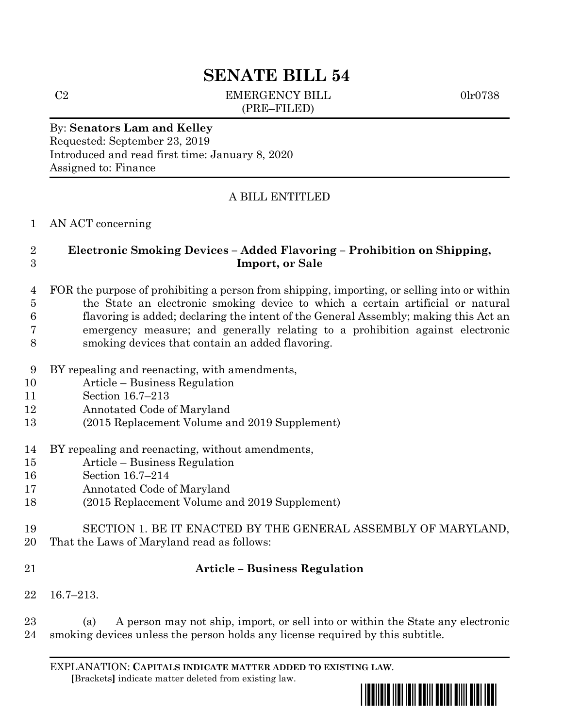# **SENATE BILL 54**

C2 EMERGENCY BILL 0lr0738 (PRE–FILED)

### By: **Senators Lam and Kelley** Requested: September 23, 2019 Introduced and read first time: January 8, 2020 Assigned to: Finance

## A BILL ENTITLED

### AN ACT concerning

## **Electronic Smoking Devices – Added Flavoring – Prohibition on Shipping, Import, or Sale**

- FOR the purpose of prohibiting a person from shipping, importing, or selling into or within the State an electronic smoking device to which a certain artificial or natural flavoring is added; declaring the intent of the General Assembly; making this Act an emergency measure; and generally relating to a prohibition against electronic smoking devices that contain an added flavoring.
- BY repealing and reenacting, with amendments,
- Article Business Regulation
- Section 16.7–213
- Annotated Code of Maryland
- (2015 Replacement Volume and 2019 Supplement)
- BY repealing and reenacting, without amendments,
- Article Business Regulation
- Section 16.7–214
- Annotated Code of Maryland
- (2015 Replacement Volume and 2019 Supplement)
- SECTION 1. BE IT ENACTED BY THE GENERAL ASSEMBLY OF MARYLAND,
- That the Laws of Maryland read as follows:
- 

## **Article – Business Regulation**

16.7–213.

 (a) A person may not ship, import, or sell into or within the State any electronic smoking devices unless the person holds any license required by this subtitle.

EXPLANATION: **CAPITALS INDICATE MATTER ADDED TO EXISTING LAW**.  **[**Brackets**]** indicate matter deleted from existing law.